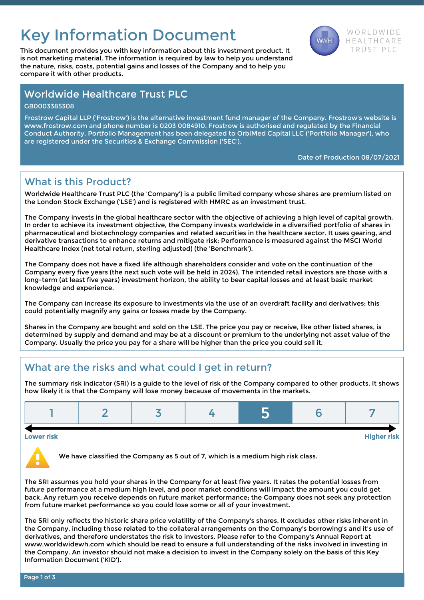# Key Information Document WE AND WORLDWIDE

This document provides you with key information about this investment product. It TRUST PLC is not marketing material. The information is required by law to help you understand the nature, risks, costs, potential gains and losses of the Company and to help you compare it with other products.



### Worldwide Healthcare Trust PLC

GB0003385308

Frostrow Capital LLP ('Frostrow') is the alternative investment fund manager of the Company. Frostrow's website is www.frostrow.com and phone number is 0203 0084910. Frostrow is authorised and regulated by the Financial Conduct Authority. Portfolio Management has been delegated to OrbiMed Capital LLC ('Portfolio Manager'), who are registered under the Securities & Exchange Commission ('SEC').

Date of Production 08/07/2021

### What is this Product?

Worldwide Healthcare Trust PLC (the 'Company') is a public limited company whose shares are premium listed on the London Stock Exchange ('LSE') and is registered with HMRC as an investment trust.

The Company invests in the global healthcare sector with the objective of achieving a high level of capital growth. In order to achieve its investment objective, the Company invests worldwide in a diversified portfolio of shares in pharmaceutical and biotechnology companies and related securities in the healthcare sector. It uses gearing, and derivative transactions to enhance returns and mitigate risk; Performance is measured against the MSCI World Healthcare Index (net total return, sterling adjusted) (the 'Benchmark').

The Company does not have a fixed life although shareholders consider and vote on the continuation of the Company every five years (the next such vote will be held in 2024). The intended retail investors are those with a long-term (at least five years) investment horizon, the ability to bear capital losses and at least basic market knowledge and experience.

The Company can increase its exposure to investments via the use of an overdraft facility and derivatives; this could potentially magnify any gains or losses made by the Company.

Shares in the Company are bought and sold on the LSE. The price you pay or receive, like other listed shares, is determined by supply and demand and may be at a discount or premium to the underlying net asset value of the Company. Usually the price you pay for a share will be higher than the price you could sell it.

# What are the risks and what could I get in return?

The summary risk indicator (SRI) is a guide to the level of risk of the Company compared to other products. It shows how likely it is that the Company will lose money because of movements in the markets.

#### Lower risk Higher risk

We have classified the Company as 5 out of 7, which is a medium high risk class.

The SRI assumes you hold your shares in the Company for at least five years. It rates the potential losses from future performance at a medium high level, and poor market conditions will impact the amount you could get back. Any return you receive depends on future market performance; the Company does not seek any protection from future market performance so you could lose some or all of your investment.

The SRI only reflects the historic share price volatility of the Company's shares. It excludes other risks inherent in the Company, including those related to the collateral arrangements on the Company's borrowing's and it's use of derivatives, and therefore understates the risk to investors. Please refer to the Company's Annual Report at www.worldwidewh.com which should be read to ensure a full understanding of the risks involved in investing in the Company. An investor should not make a decision to invest in the Company solely on the basis of this Key Information Document ('KID').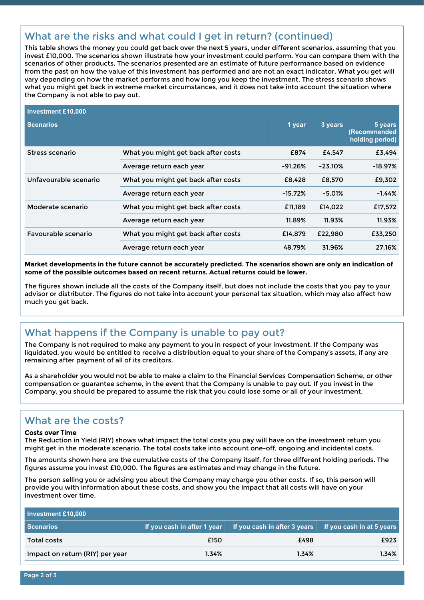# What are the risks and what could I get in return? (continued)

This table shows the money you could get back over the next 5 years, under different scenarios, assuming that you invest £10,000. The scenarios shown illustrate how your investment could perform. You can compare them with the scenarios of other products. The scenarios presented are an estimate of future performance based on evidence from the past on how the value of this investment has performed and are not an exact indicator. What you get will vary depending on how the market performs and how long you keep the investment. The stress scenario shows what you might get back in extreme market circumstances, and it does not take into account the situation where the Company is not able to pay out.

| Investment £10,000    |                                     |           |           |                                            |
|-----------------------|-------------------------------------|-----------|-----------|--------------------------------------------|
| <b>Scenarios</b>      |                                     | 1 year    | 3 years   | 5 years<br>(Recommended<br>holding period) |
| Stress scenario       | What you might get back after costs | £874      | £4.547    | £3,494                                     |
|                       | Average return each year            | $-91.26%$ | $-23.10%$ | $-18.97%$                                  |
| Unfavourable scenario | What you might get back after costs | £8,428    | £8,570    | £9,302                                     |
|                       | Average return each year            | $-15.72%$ | $-5.01%$  | -1.44%                                     |
| Moderate scenario     | What you might get back after costs | £11.189   | £14.022   | £17,572                                    |
|                       | Average return each year            | 11.89%    | 11.93%    | 11.93%                                     |
| Favourable scenario   | What you might get back after costs | £14.879   | £22,980   | £33,250                                    |
|                       | Average return each year            | 48.79%    | 31.96%    | 27.16%                                     |

**Market developments in the future cannot be accurately predicted. The scenarios shown are only an indication of some of the possible outcomes based on recent returns. Actual returns could be lower.**

The figures shown include all the costs of the Company itself, but does not include the costs that you pay to your advisor or distributor. The figures do not take into account your personal tax situation, which may also affect how much you get back.

# What happens if the Company is unable to pay out?

The Company is not required to make any payment to you in respect of your investment. If the Company was liquidated, you would be entitled to receive a distribution equal to your share of the Company's assets, if any are remaining after payment of all of its creditors.

As a shareholder you would not be able to make a claim to the Financial Services Compensation Scheme, or other compensation or guarantee scheme, in the event that the Company is unable to pay out. If you invest in the Company, you should be prepared to assume the risk that you could lose some or all of your investment.

### What are the costs?

#### Costs over Time

The Reduction in Yield (RIY) shows what impact the total costs you pay will have on the investment return you might get in the moderate scenario. The total costs take into account one-off, ongoing and incidental costs.

The amounts shown here are the cumulative costs of the Company itself, for three different holding periods. The figures assume you invest £10,000. The figures are estimates and may change in the future.

The person selling you or advising you about the Company may charge you other costs. If so, this person will provide you with information about these costs, and show you the impact that all costs will have on your investment over time.

| Investment £10,000              |       |                                                                                       |                                  |  |  |  |  |  |
|---------------------------------|-------|---------------------------------------------------------------------------------------|----------------------------------|--|--|--|--|--|
| <b>Scenarios</b>                |       | $\mid$ If you cash in after 1 year $\mid\mid$ If you cash in after 3 years $\mid\mid$ | <b>If you cash in at 5 years</b> |  |  |  |  |  |
| Total costs                     | £150  | £498                                                                                  | £923                             |  |  |  |  |  |
| Impact on return (RIY) per year | 1.34% | 1.34%                                                                                 | 1.34%                            |  |  |  |  |  |